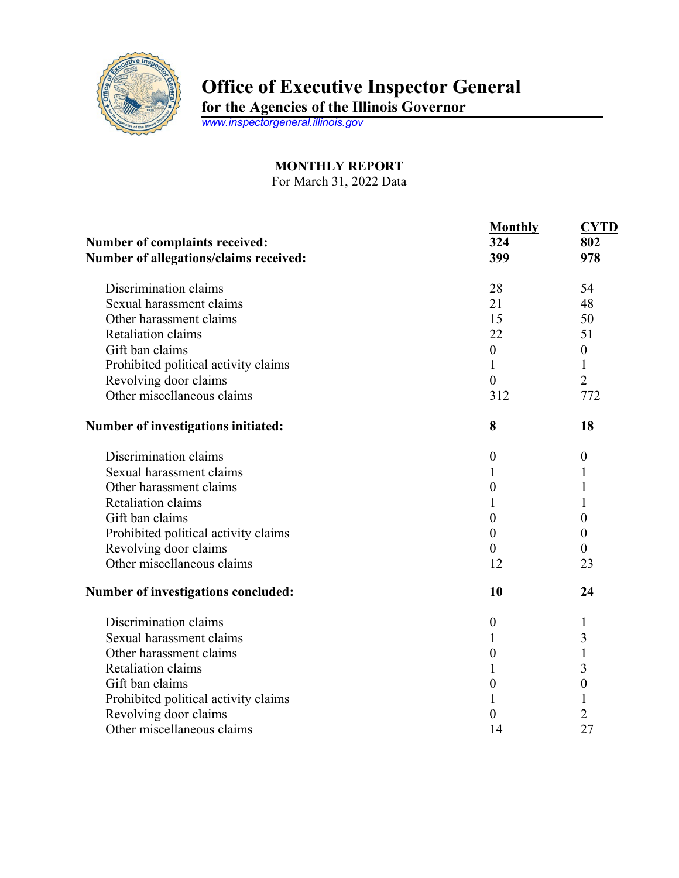

## **Office of Executive Inspector General**

**for the Agencies of the Illinois Governor**

*[www.inspectorgeneral.illinois.gov](http://www.inspectorgeneral.illinois.gov/)*

## **MONTHLY REPORT** For March 31, 2022 Data

**Monthly CYTD Number of complaints received: Number of allegations/claims received:** Discrimination claims Sexual harassment claims Other harassment claims Retaliation claims Gift ban claims Prohibited political activity claims Revolving door claims Other miscellaneous claims **324 399** 28 21 15 22  $\theta$ 1 0 312 **802 978** 54 48 50 51  $\theta$ 1 2 772 **Number of investigations initiated: 8 18** Discrimination claims Sexual harassment claims Other harassment claims Retaliation claims Gift ban claims Prohibited political activity claims Revolving door claims Other miscellaneous claims 0 1  $\Omega$ 1 0  $\Omega$  $\theta$ 12 0 1 1 1 0 0  $\overline{0}$ 23 **Number of investigations concluded: 10 24** Discrimination claims Sexual harassment claims Other harassment claims Retaliation claims Gift ban claims Prohibited political activity claims Revolving door claims Other miscellaneous claims 0 1 0 1 0 1 0 14 1 3 1 3 0 1 2 27